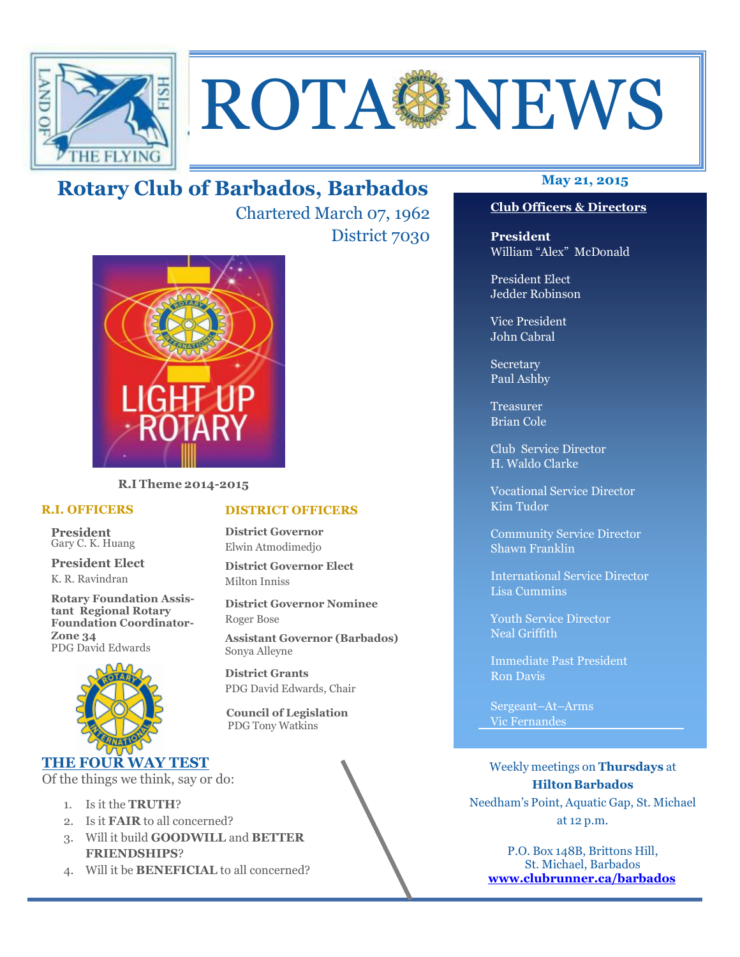

# ROTA NEWS

# **May 21, 2015 Rotary Club of Barbados, Barbados**

Chartered March 07, 1962 District 7030



**R.I Theme 2014-2015** 

## **R.I. OFFICERS**

**President** Gary C. K. Huang

**President Elect** K. R. Ravindran

**Rotary Foundation Assistant Regional Rotary Foundation Coordinator-Zone 34**  PDG David Edwards



## **THE FOUR WAY TEST**

Of the things we think, say or do:

- 1. Is it the **TRUTH**?
- 2. Is it **FAIR** to all concerned?
- 3. Will it build **GOODWILL** and **BETTER FRIENDSHIPS**?
- 4. Will it be **BENEFICIAL** to all concerned?

## **Club Officers & Directors**

**President** William "Alex" McDonald

President Elect Jedder Robinson

Vice President John Cabral

Secretary Paul Ashby

Treasurer Brian Cole

Club Service Director H. Waldo Clarke

Vocational Service Director Kim Tudor

Community Service Director Shawn Franklin

International Service Director Lisa Cummins

Youth Service Director Neal Griffith

Immediate Past President Ron Davis

Sergeant–At–Arms Vic Fernandes

Weekly meetings on **Thursdays** at **Hilton Barbados** Needham's Point, Aquatic Gap, St. Michael at 12 p.m.

P.O. Box 148B, Brittons Hill, St. Michael, Barbados **www.clubrunner.ca/barbados**

## **DISTRICT OFFICERS**

**District Governor** Elwin Atmodimedjo

**District Governor Elect** Milton Inniss

**District Governor Nominee**  Roger Bose

**Assistant Governor (Barbados)** Sonya Alleyne

**District Grants**  PDG David Edwards, Chair

 **Council of Legislation**  PDG Tony Watkins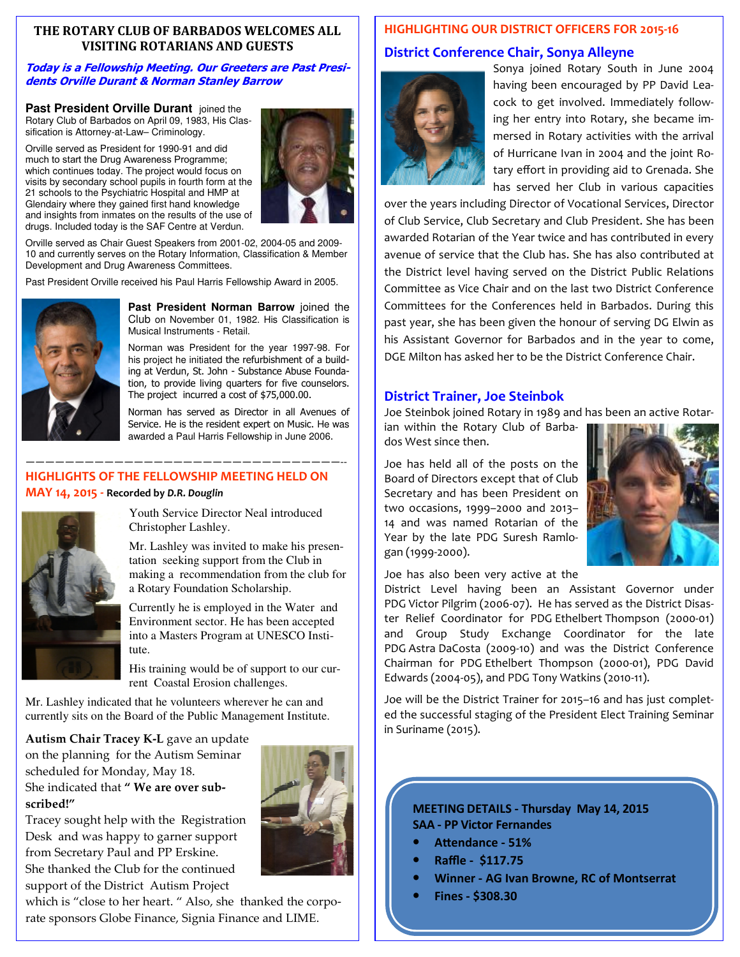## **THE ROTARY CLUB OF BARBADOS WELCOMES ALL VISITING ROTARIANS AND GUESTS**

## **Today is a Fellowship Meeting. Our Greeters are Past Presidents Orville Durant & Norman Stanley Barrow**

**Past President Orville Durant joined** the Rotary Club of Barbados on April 09, 1983, His Classification is Attorney-at-Law– Criminology.

Orville served as President for 1990-91 and did much to start the Drug Awareness Programme; which continues today. The project would focus on visits by secondary school pupils in fourth form at the 21 schools to the Psychiatric Hospital and HMP at Glendairy where they gained first hand knowledge and insights from inmates on the results of the use of drugs. Included today is the SAF Centre at Verdun.



Orville served as Chair Guest Speakers from 2001-02, 2004-05 and 2009- 10 and currently serves on the Rotary Information, Classification & Member Development and Drug Awareness Committees.

Past President Orville received his Paul Harris Fellowship Award in 2005.



**Past President Norman Barrow** joined the Club on November 01, 1982. His Classification is Musical Instruments - Retail.

Norman was President for the year 1997-98. For his project he initiated the refurbishment of a building at Verdun, St. John - Substance Abuse Foundation, to provide living quarters for five counselors. The project incurred a cost of \$75,000.00.

Norman has served as Director in all Avenues of Service. He is the resident expert on Music. He was awarded a Paul Harris Fellowship in June 2006.

## **HIGHLIGHTS OF THE FELLOWSHIP MEETING HELD ON MAY 14, 2015 - Recorded by** *D.R. Douglin*

————————————————————————————————--



Youth Service Director Neal introduced Christopher Lashley.

Mr. Lashley was invited to make his presentation seeking support from the Club in making a recommendation from the club for a Rotary Foundation Scholarship.

Currently he is employed in the Water and Environment sector. He has been accepted into a Masters Program at UNESCO Institute.

His training would be of support to our current Coastal Erosion challenges.

Mr. Lashley indicated that he volunteers wherever he can and currently sits on the Board of the Public Management Institute.

**Autism Chair Tracey K-L** gave an update on the planning for the Autism Seminar scheduled for Monday, May 18. She indicated that **" We are over subscribed!"** 



Tracey sought help with the Registration Desk and was happy to garner support from Secretary Paul and PP Erskine. She thanked the Club for the continued support of the District Autism Project

 rate sponsors Globe Finance, Signia Finance and LIME. which is "close to her heart. " Also, she thanked the corpo-

## **HIGHLIGHTING OUR DISTRICT OFFICERS FOR 2015-16**

## **District Conference Chair, Sonya Alleyne**



Sonya joined Rotary South in June 2004 having been encouraged by PP David Leacock to get involved. Immediately following her entry into Rotary, she became immersed in Rotary activities with the arrival of Hurricane Ivan in 2004 and the joint Rotary effort in providing aid to Grenada. She has served her Club in various capacities

over the years including Director of Vocational Services, Director of Club Service, Club Secretary and Club President. She has been awarded Rotarian of the Year twice and has contributed in every avenue of service that the Club has. She has also contributed at the District level having served on the District Public Relations Committee as Vice Chair and on the last two District Conference Committees for the Conferences held in Barbados. During this past year, she has been given the honour of serving DG Elwin as his Assistant Governor for Barbados and in the year to come, DGE Milton has asked her to be the District Conference Chair.

## **District Trainer, Joe Steinbok**

Joe Steinbok joined Rotary in 1989 and has been an active Rotar-

ian within the Rotary Club of Barbados West since then.

Joe has held all of the posts on the Board of Directors except that of Club Secretary and has been President on two occasions, 1999–2000 and 2013– 14 and was named Rotarian of the Year by the late PDG Suresh Ramlogan (1999-2000).



Joe has also been very active at the

District Level having been an Assistant Governor under PDG Victor Pilgrim (2006-07). He has served as the District Disaster Relief Coordinator for PDG Ethelbert Thompson (2000-01) and Group Study Exchange Coordinator for the late PDG Astra DaCosta (2009-10) and was the District Conference Chairman for PDG Ethelbert Thompson (2000-01), PDG David Edwards (2004-05), and PDG Tony Watkins (2010-11).

Joe will be the District Trainer for 2015–16 and has just completed the successful staging of the President Elect Training Seminar in Suriname (2015).

## **MEETING DETAILS - Thursday May 14, 2015 SAA - PP Victor Fernandes**

- Attendance 51%
- **Raffle \$117.75**
- **Winner AG Ivan Browne, RC of Montserrat**
- **Fines \$308.30**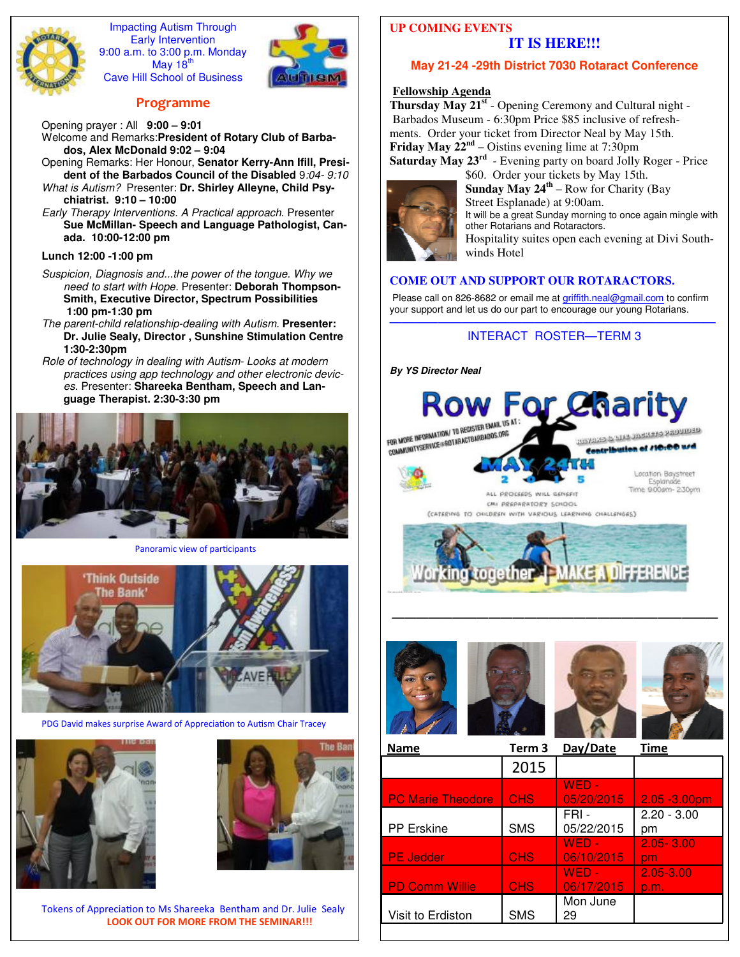

Impacting Autism Through Early Intervention 9:00 a.m. to 3:00 p.m. Monday May 18 $<sup>t</sup>$ </sup> Cave Hill School of Business



## **Programme**

Opening prayer : All **9:00 – 9:01** Welcome and Remarks:**President of Rotary Club of Barbados, Alex McDonald 9:02 – 9:04** 

Opening Remarks: Her Honour, **Senator Kerry-Ann Ifill, President of the Barbados Council of the Disabled** 9*:04- 9:10 What is Autism?* Presenter: **Dr. Shirley Alleyne, Child Psychiatrist. 9:10 – 10:00** 

*Early Therapy Interventions. A Practical approach*. Presenter **Sue McMillan- Speech and Language Pathologist, Canada. 10:00-12:00 pm**

## **Lunch 12:00 -1:00 pm**

*Suspicion, Diagnosis and...the power of the tongue. Why we need to start with Hope.* Presenter: **Deborah Thompson-Smith, Executive Director, Spectrum Possibilities 1:00 pm-1:30 pm**

- *The parent-child relationship-dealing with Autism.* **Presenter: Dr. Julie Sealy, Director , Sunshine Stimulation Centre 1:30-2:30pm**
- *Role of technology in dealing with Autism- Looks at modern practices using app technology and other electronic devices.* Presenter: **Shareeka Bentham, Speech and Language Therapist. 2:30-3:30 pm**



Panoramic view of participants



PDG David makes surprise Award of Appreciation to Autism Chair Tracey





Tokens of Appreciation to Ms Shareeka Bentham and Dr. Julie Sealy **LOOK OUT FOR MORE FROM THE SEMINAR!!!**

## **UP COMING EVENTS IT IS HERE!!!**

## **May 21-24 -29th District 7030 Rotaract Conference**

## **Fellowship Agenda**

**Thursday May 21st** - Opening Ceremony and Cultural night - Barbados Museum - 6:30pm Price \$85 inclusive of refreshments. Order your ticket from Director Neal by May 15th. **Friday May 22nd** – Oistins evening lime at 7:30pm **Saturday May 23rd** - Evening party on board Jolly Roger - Price

\$60. Order your tickets by May 15th. **Sunday May 24th** – Row for Charity (Bay Street Esplanade) at 9:00am. It will be a great Sunday morning to once again mingle with other Rotarians and Rotaractors. Hospitality suites open each evening at Divi Southwinds Hotel

## **COME OUT AND SUPPORT OUR ROTARACTORS.**

Please call on 826-8682 or email me at griffith.neal@gmail.com to confirm your support and let us do our part to encourage our young Rotarians.

## ——————————————————————————— INTERACT ROSTER—TERM 3







*———————————————————————————* 

| <b>Name</b>              | Term <sub>3</sub> | Day/Date              | Time                |
|--------------------------|-------------------|-----------------------|---------------------|
|                          | 2015              |                       |                     |
| <b>PC Marie Theodore</b> | <b>CHS</b>        | WED -<br>05/20/2015   | $2.05 - 3.00pm$     |
| PP Erskine               | <b>SMS</b>        | FRI-<br>05/22/2015    | $2.20 - 3.00$<br>pm |
| <b>PE Jedder</b>         | <b>CHS</b>        | $WED -$<br>06/10/2015 | $2.05 - 3.00$<br>pm |
| <b>PD Comm Willie</b>    | <b>CHS</b>        | $WFD -$<br>06/17/2015 | 2.05-3.00<br>p.m.   |
| Visit to Erdiston        | <b>SMS</b>        | Mon June<br>29        |                     |
|                          |                   |                       |                     |